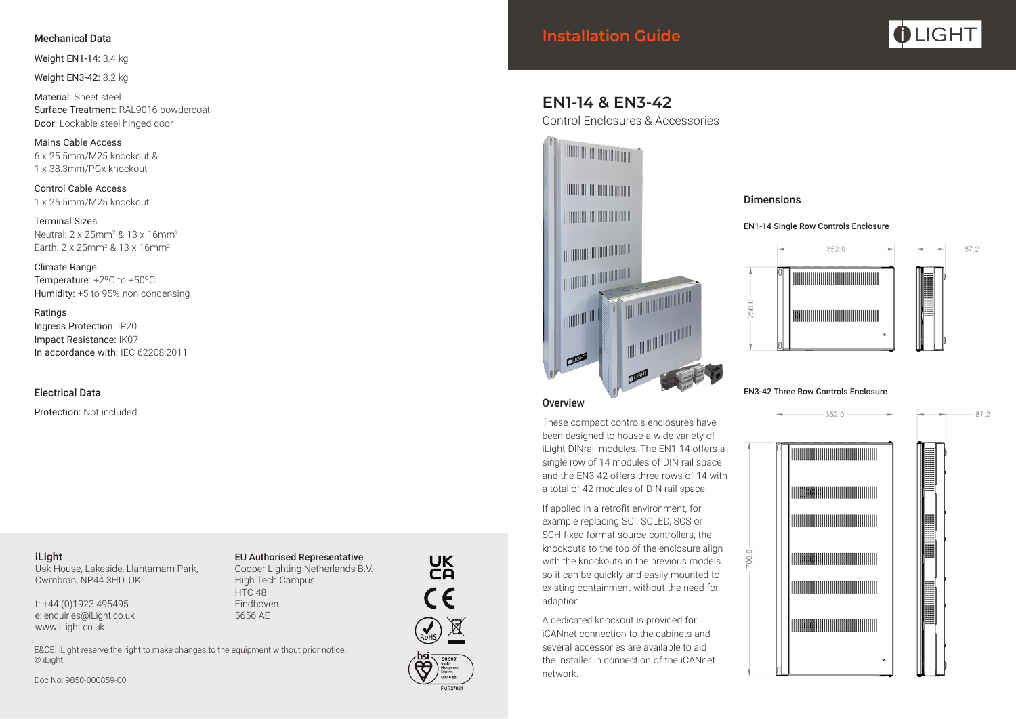## Mechanical Data

Weight EN1-14: 3.4 kg

Weight EN3-42: 8.2 kg

Material: Sheet steel Surface Treatment: RAL9016 powdercoat Door: Lockable steel hinged door

Mains Cable Access 6 x 25.5mm/M25 knockout & 1 x 38.3mm/PGx knockout

Control Cable Access 1 x 25.5mm/M25 knockout

Terminal Sizes Neutral: 2 x 25mm2 & 13 x 16mm2 Earth: 2 x 25mm2 & 13 x 16mm2

Climate Range Temperature: +2ºC to +50ºC Humidity: +5 to 95% non condensing

Ratings Ingress Protection: IP20 Impact Resistance: IK07 In accordance with: IEC 62208:2011

## Electrical Data

Protection: Not included

#### iLight Usk House, Lakeside, Llantarnam Park, Cwmbran, NP44 3HD, UK

t: +44 (0)1923 495495 e: enquiries@iLight.co.uk www.iLight.co.uk

EU Authorised Representative Cooper Lighting Netherlands B.V. High Tech Campus **HTC 48** Eindhoven 5656 AE

E&OE. iLight reserve the right to make changes to the equipment without prior notice. © iLight

Doc No: 9850-000859-00





87.2

# **EN1-14 & EN3-42** Control Enclosures & Accessories



These compact controls enclosures have been designed to house a wide variety of iLight DINrail modules. The EN1-14 offers a single row of 14 modules of DIN rail space and the EN3-42 offers three rows of 14 with a total of 42 modules of DIN rail space.

If applied in a retrofit environment, for example replacing SCI, SCLED, SCS or SCH fixed format source controllers, the knockouts to the top of the enclosure align with the knockouts in the previous models so it can be quickly and easily mounted to existing containment without the need for adaption.

A dedicated knockout is provided for iCANnet connection to the cabinets and several accessories are available to aid the installer in connection of the iCANnet network.

## Dimensions





#### EN3-42 Three Row Controls Enclosure





UK<br>CA

 $C\epsilon$